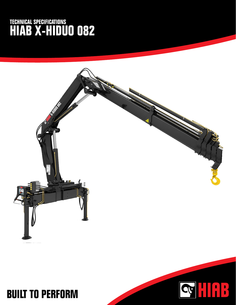## **TECHNICAL SPECIFICATIONS HIAB X-HIDUO 082**